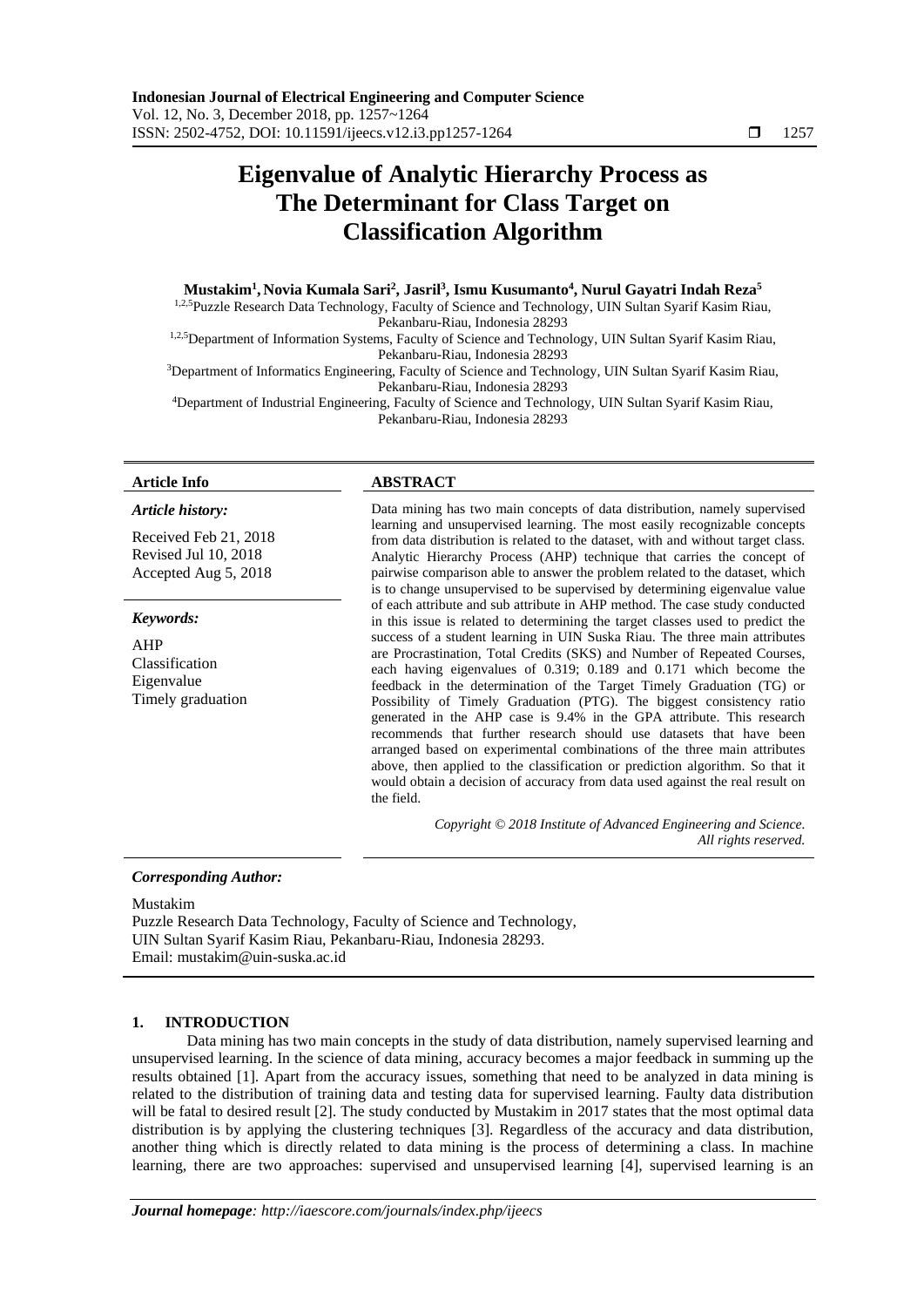# **Eigenvalue of Analytic Hierarchy Process as The Determinant for Class Target on Classification Algorithm**

# **Mustakim<sup>1</sup> , Novia Kumala Sari<sup>2</sup> , Jasril<sup>3</sup> , Ismu Kusumanto<sup>4</sup> , Nurul Gayatri Indah Reza<sup>5</sup>**

<sup>1,2,5</sup>Puzzle Research Data Technology, Faculty of Science and Technology, UIN Sultan Syarif Kasim Riau, Pekanbaru-Riau, Indonesia 28293

1,2,5Department of Information Systems, Faculty of Science and Technology, UIN Sultan Syarif Kasim Riau, Pekanbaru-Riau, Indonesia 28293

<sup>3</sup>Department of Informatics Engineering, Faculty of Science and Technology, UIN Sultan Syarif Kasim Riau, Pekanbaru-Riau, Indonesia 28293

<sup>4</sup>Department of Industrial Engineering, Faculty of Science and Technology, UIN Sultan Syarif Kasim Riau, Pekanbaru-Riau, Indonesia 28293

### *Article history:*

Received Feb 21, 2018 Revised Jul 10, 2018 Accepted Aug 5, 2018

### *Keywords:*

AHP Classification Eigenvalue Timely graduation

# **Article Info ABSTRACT**

Data mining has two main concepts of data distribution, namely supervised learning and unsupervised learning. The most easily recognizable concepts from data distribution is related to the dataset, with and without target class. Analytic Hierarchy Process (AHP) technique that carries the concept of pairwise comparison able to answer the problem related to the dataset, which is to change unsupervised to be supervised by determining eigenvalue value of each attribute and sub attribute in AHP method. The case study conducted in this issue is related to determining the target classes used to predict the success of a student learning in UIN Suska Riau. The three main attributes are Procrastination, Total Credits (SKS) and Number of Repeated Courses, each having eigenvalues of 0.319; 0.189 and 0.171 which become the feedback in the determination of the Target Timely Graduation (TG) or Possibility of Timely Graduation (PTG). The biggest consistency ratio generated in the AHP case is 9.4% in the GPA attribute. This research recommends that further research should use datasets that have been arranged based on experimental combinations of the three main attributes above, then applied to the classification or prediction algorithm. So that it would obtain a decision of accuracy from data used against the real result on the field.

> *Copyright © 2018 Institute of Advanced Engineering and Science. All rights reserved.*

*Corresponding Author:*

Mustakim

Puzzle Research Data Technology, Faculty of Science and Technology, UIN Sultan Syarif Kasim Riau, Pekanbaru-Riau, Indonesia 28293. Email: mustakim@uin-suska.ac.id

# **1. INTRODUCTION**

Data mining has two main concepts in the study of data distribution, namely supervised learning and unsupervised learning. In the science of data mining, accuracy becomes a major feedback in summing up the results obtained [1]. Apart from the accuracy issues, something that need to be analyzed in data mining is related to the distribution of training data and testing data for supervised learning. Faulty data distribution will be fatal to desired result [2]. The study conducted by Mustakim in 2017 states that the most optimal data distribution is by applying the clustering techniques [3]. Regardless of the accuracy and data distribution, another thing which is directly related to data mining is the process of determining a class. In machine learning, there are two approaches: supervised and unsupervised learning [4], supervised learning is an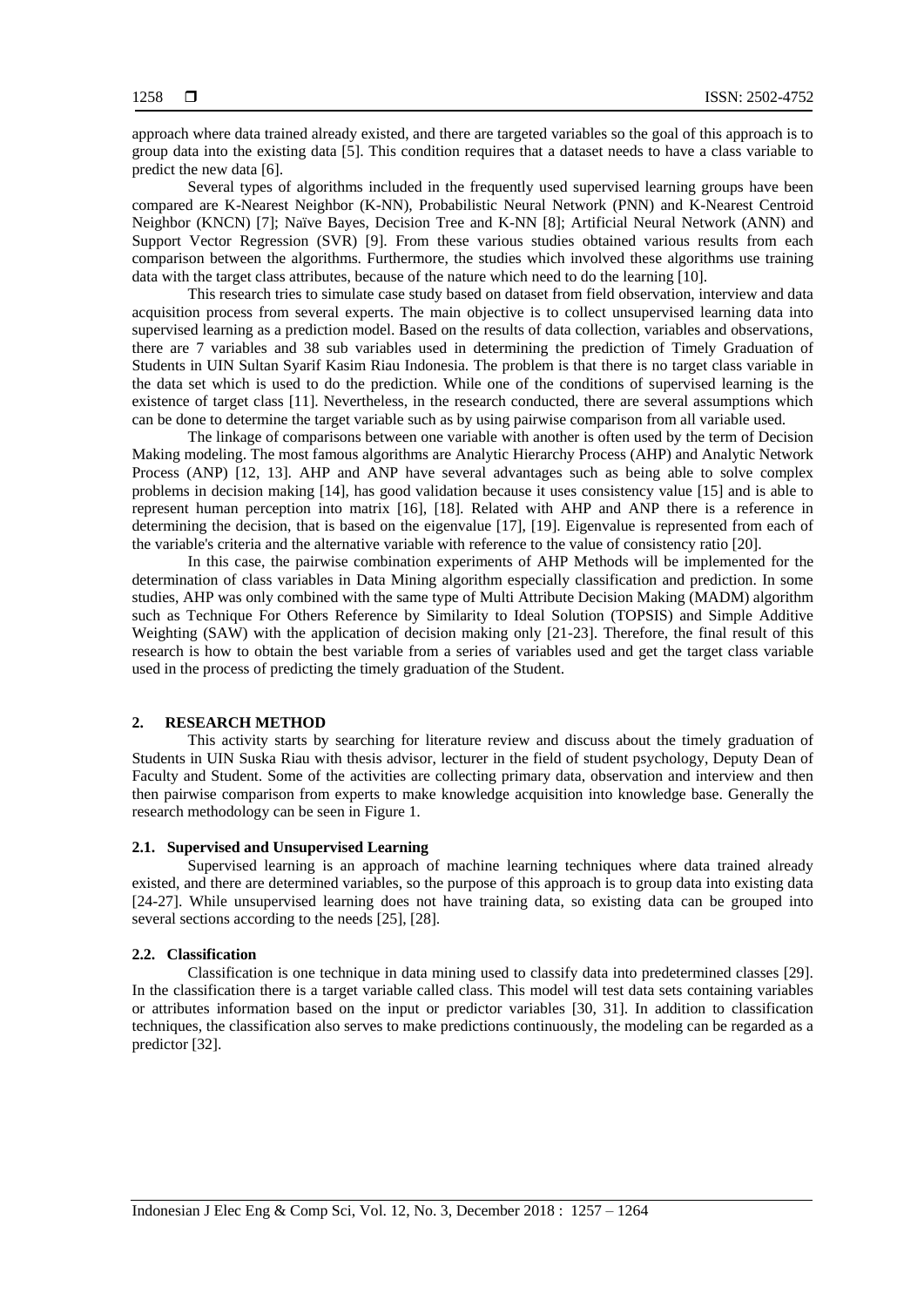approach where data trained already existed, and there are targeted variables so the goal of this approach is to group data into the existing data [5]. This condition requires that a dataset needs to have a class variable to predict the new data [6].

Several types of algorithms included in the frequently used supervised learning groups have been compared are K-Nearest Neighbor (K-NN), Probabilistic Neural Network (PNN) and K-Nearest Centroid Neighbor (KNCN) [7]; Naïve Bayes, Decision Tree and K-NN [8]; Artificial Neural Network (ANN) and Support Vector Regression (SVR) [9]. From these various studies obtained various results from each comparison between the algorithms. Furthermore, the studies which involved these algorithms use training data with the target class attributes, because of the nature which need to do the learning [10].

This research tries to simulate case study based on dataset from field observation, interview and data acquisition process from several experts. The main objective is to collect unsupervised learning data into supervised learning as a prediction model. Based on the results of data collection, variables and observations, there are 7 variables and 38 sub variables used in determining the prediction of Timely Graduation of Students in UIN Sultan Syarif Kasim Riau Indonesia. The problem is that there is no target class variable in the data set which is used to do the prediction. While one of the conditions of supervised learning is the existence of target class [11]. Nevertheless, in the research conducted, there are several assumptions which can be done to determine the target variable such as by using pairwise comparison from all variable used.

The linkage of comparisons between one variable with another is often used by the term of Decision Making modeling. The most famous algorithms are Analytic Hierarchy Process (AHP) and Analytic Network Process (ANP) [12, 13]. AHP and ANP have several advantages such as being able to solve complex problems in decision making [14], has good validation because it uses consistency value [15] and is able to represent human perception into matrix [16], [18]. Related with AHP and ANP there is a reference in determining the decision, that is based on the eigenvalue [17], [19]. Eigenvalue is represented from each of the variable's criteria and the alternative variable with reference to the value of consistency ratio [20].

In this case, the pairwise combination experiments of AHP Methods will be implemented for the determination of class variables in Data Mining algorithm especially classification and prediction. In some studies, AHP was only combined with the same type of Multi Attribute Decision Making (MADM) algorithm such as Technique For Others Reference by Similarity to Ideal Solution (TOPSIS) and Simple Additive Weighting (SAW) with the application of decision making only [21-23]. Therefore, the final result of this research is how to obtain the best variable from a series of variables used and get the target class variable used in the process of predicting the timely graduation of the Student.

### **2. RESEARCH METHOD**

This activity starts by searching for literature review and discuss about the timely graduation of Students in UIN Suska Riau with thesis advisor, lecturer in the field of student psychology, Deputy Dean of Faculty and Student. Some of the activities are collecting primary data, observation and interview and then then pairwise comparison from experts to make knowledge acquisition into knowledge base. Generally the research methodology can be seen in Figure 1.

# **2.1. Supervised and Unsupervised Learning**

Supervised learning is an approach of machine learning techniques where data trained already existed, and there are determined variables, so the purpose of this approach is to group data into existing data [24-27]. While unsupervised learning does not have training data, so existing data can be grouped into several sections according to the needs [25], [28].

#### **2.2. Classification**

Classification is one technique in data mining used to classify data into predetermined classes [29]. In the classification there is a target variable called class. This model will test data sets containing variables or attributes information based on the input or predictor variables [30, 31]. In addition to classification techniques, the classification also serves to make predictions continuously, the modeling can be regarded as a predictor [32].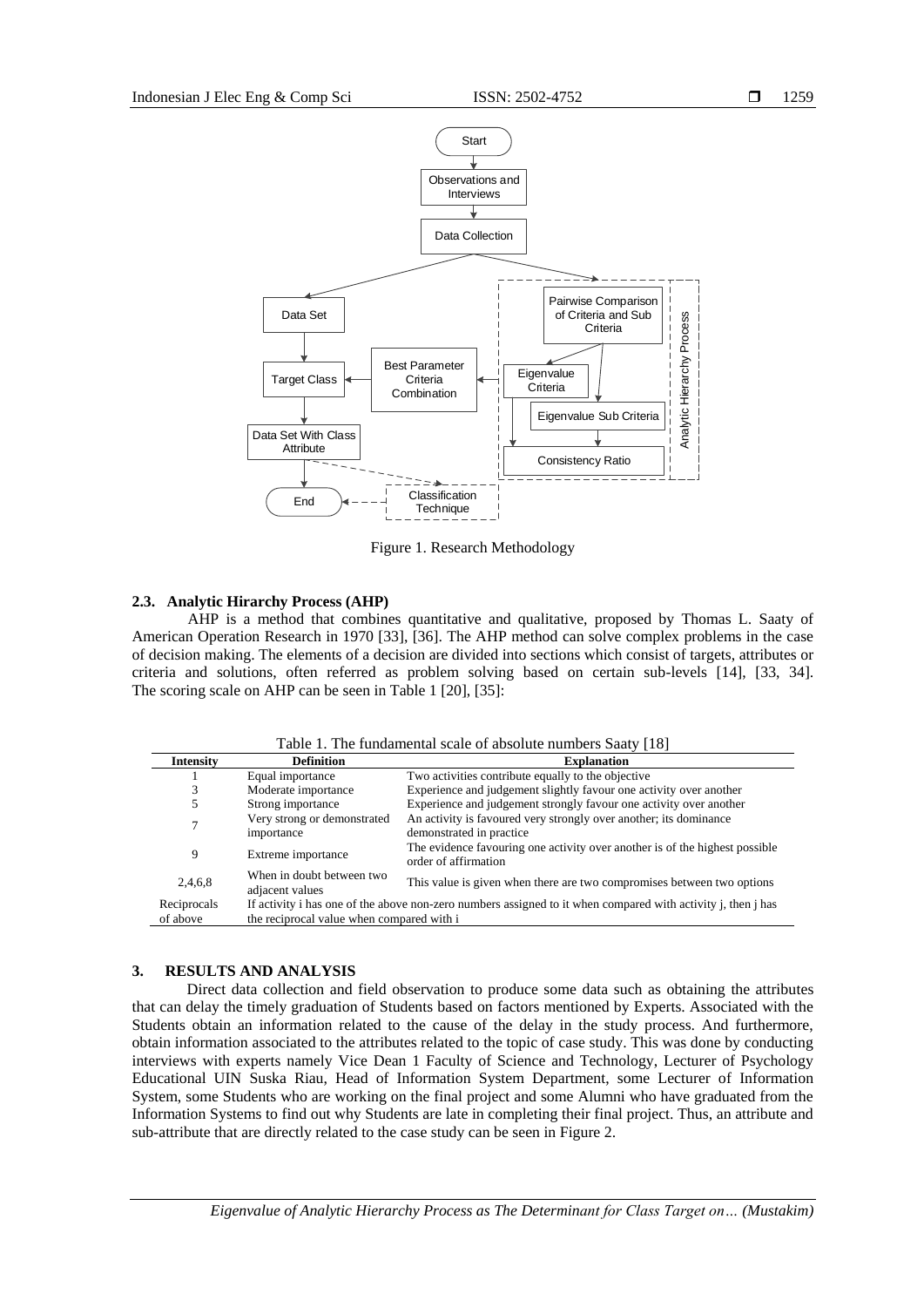

Figure 1. Research Methodology

# **2.3. Analytic Hirarchy Process (AHP)**

AHP is a method that combines quantitative and qualitative, proposed by Thomas L. Saaty of American Operation Research in 1970 [33], [36]. The AHP method can solve complex problems in the case of decision making. The elements of a decision are divided into sections which consist of targets, attributes or criteria and solutions, often referred as problem solving based on certain sub-levels [14], [33, 34]. The scoring scale on AHP can be seen in Table 1 [20], [35]:

Table 1. The fundamental scale of absolute numbers Saaty [18]

| <b>Intensity</b> | <b>Definition</b>                                                                                                         | <b>Explanation</b>                                                                            |  |  |  |  |
|------------------|---------------------------------------------------------------------------------------------------------------------------|-----------------------------------------------------------------------------------------------|--|--|--|--|
|                  | Equal importance                                                                                                          | Two activities contribute equally to the objective                                            |  |  |  |  |
|                  | Moderate importance                                                                                                       | Experience and judgement slightly favour one activity over another                            |  |  |  |  |
|                  | Strong importance                                                                                                         | Experience and judgement strongly favour one activity over another                            |  |  |  |  |
| $\tau$           | Very strong or demonstrated<br>importance                                                                                 | An activity is favoured very strongly over another; its dominance<br>demonstrated in practice |  |  |  |  |
| 9                | The evidence favouring one activity over another is of the highest possible<br>Extreme importance<br>order of affirmation |                                                                                               |  |  |  |  |
| 2,4,6,8          | When in doubt between two<br>adjacent values                                                                              | This value is given when there are two compromises between two options                        |  |  |  |  |
| Reciprocals      | If activity i has one of the above non-zero numbers assigned to it when compared with activity j, then j has              |                                                                                               |  |  |  |  |
| of above         | the reciprocal value when compared with i                                                                                 |                                                                                               |  |  |  |  |

# **3. RESULTS AND ANALYSIS**

Direct data collection and field observation to produce some data such as obtaining the attributes that can delay the timely graduation of Students based on factors mentioned by Experts. Associated with the Students obtain an information related to the cause of the delay in the study process. And furthermore, obtain information associated to the attributes related to the topic of case study. This was done by conducting interviews with experts namely Vice Dean 1 Faculty of Science and Technology, Lecturer of Psychology Educational UIN Suska Riau, Head of Information System Department, some Lecturer of Information System, some Students who are working on the final project and some Alumni who have graduated from the Information Systems to find out why Students are late in completing their final project. Thus, an attribute and sub-attribute that are directly related to the case study can be seen in Figure 2.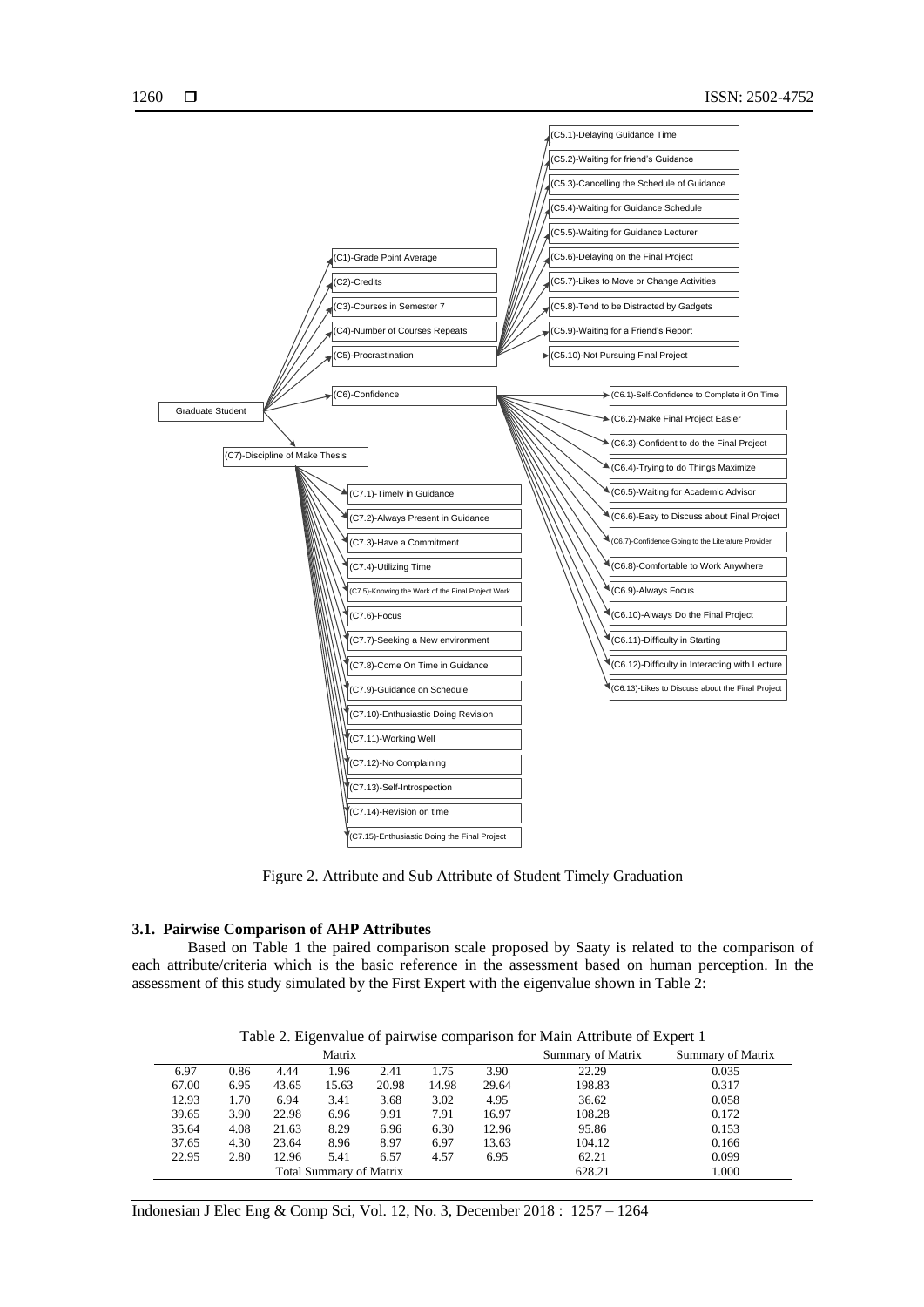

Figure 2. Attribute and Sub Attribute of Student Timely Graduation

#### **3.1. Pairwise Comparison of AHP Attributes**

Based on Table 1 the paired comparison scale proposed by Saaty is related to the comparison of each attribute/criteria which is the basic reference in the assessment based on human perception. In the assessment of this study simulated by the First Expert with the eigenvalue shown in Table 2:

Table 2. Eigenvalue of pairwise comparison for Main Attribute of Expert 1

| Matrix                  |      |       |       |       |       | Summary of Matrix | Summary of Matrix |       |
|-------------------------|------|-------|-------|-------|-------|-------------------|-------------------|-------|
| 6.97                    | 0.86 | 4.44  | .96   | 2.41  | 1.75  | 3.90              | 22.29             | 0.035 |
| 67.00                   | 6.95 | 43.65 | 15.63 | 20.98 | 14.98 | 29.64             | 198.83            | 0.317 |
| 12.93                   | 1.70 | 6.94  | 3.41  | 3.68  | 3.02  | 4.95              | 36.62             | 0.058 |
| 39.65                   | 3.90 | 22.98 | 6.96  | 9.91  | 7.91  | 16.97             | 108.28            | 0.172 |
| 35.64                   | 4.08 | 21.63 | 8.29  | 6.96  | 6.30  | 12.96             | 95.86             | 0.153 |
| 37.65                   | 4.30 | 23.64 | 8.96  | 8.97  | 6.97  | 13.63             | 104.12            | 0.166 |
| 22.95                   | 2.80 | 12.96 | 5.41  | 6.57  | 4.57  | 6.95              | 62.21             | 0.099 |
| Total Summary of Matrix |      |       |       |       |       |                   | 628.21            | 1.000 |

Indonesian J Elec Eng & Comp Sci, Vol. 12, No. 3, December 2018 : 1257 – 1264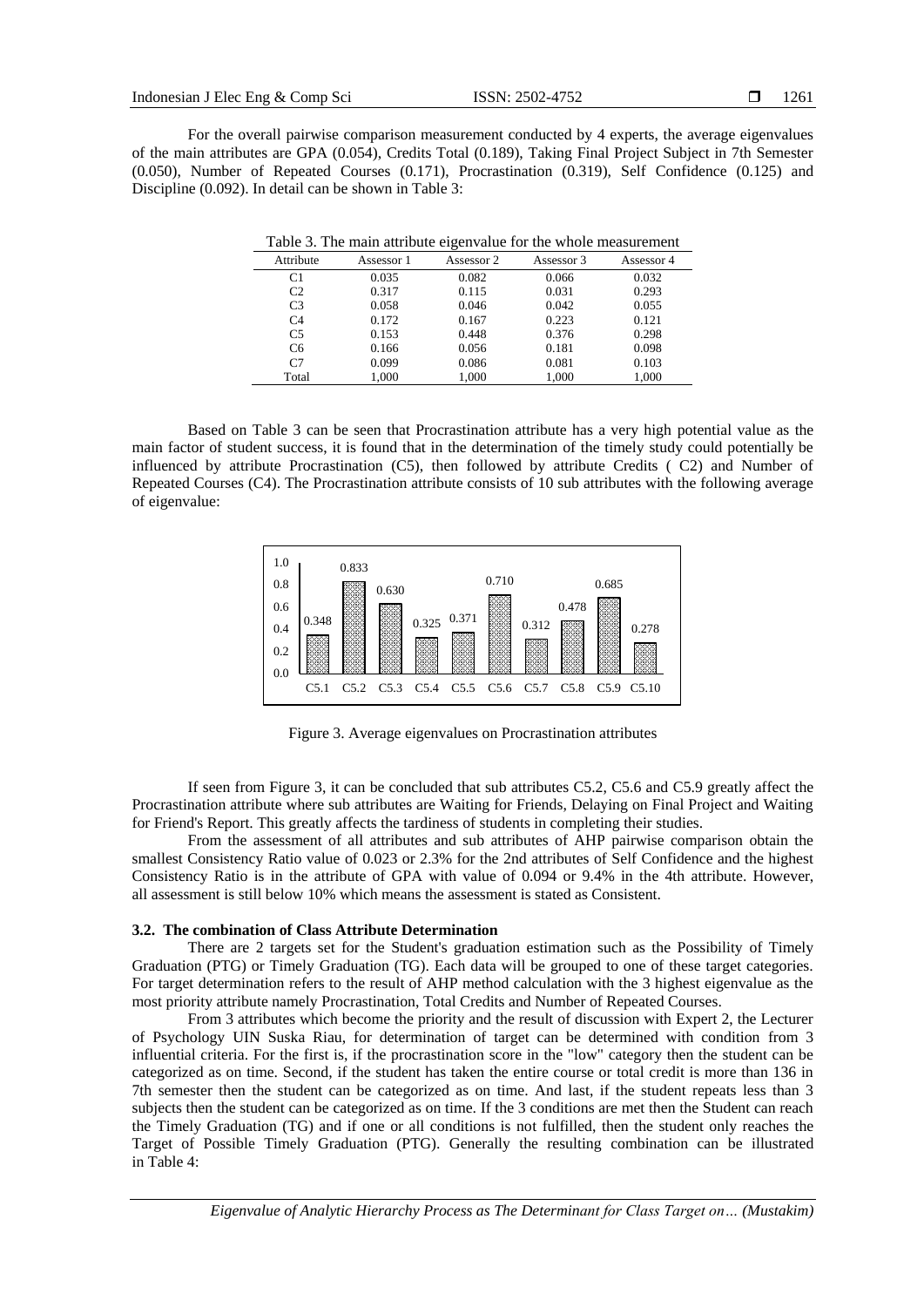For the overall pairwise comparison measurement conducted by 4 experts, the average eigenvalues of the main attributes are GPA (0.054), Credits Total (0.189), Taking Final Project Subject in 7th Semester (0.050), Number of Repeated Courses (0.171), Procrastination (0.319), Self Confidence (0.125) and Discipline (0.092). In detail can be shown in Table 3:

|                |            | Tuble 5. The main authority eigenvalue for the whole measurement |            |            |
|----------------|------------|------------------------------------------------------------------|------------|------------|
| Attribute      | Assessor 1 | Assessor 2                                                       | Assessor 3 | Assessor 4 |
| C1             | 0.035      | 0.082                                                            | 0.066      | 0.032      |
| C <sub>2</sub> | 0.317      | 0.115                                                            | 0.031      | 0.293      |
| C <sub>3</sub> | 0.058      | 0.046                                                            | 0.042      | 0.055      |
| C <sub>4</sub> | 0.172      | 0.167                                                            | 0.223      | 0.121      |
| C <sub>5</sub> | 0.153      | 0.448                                                            | 0.376      | 0.298      |
| C <sub>6</sub> | 0.166      | 0.056                                                            | 0.181      | 0.098      |
| C <sub>7</sub> | 0.099      | 0.086                                                            | 0.081      | 0.103      |
| Total          | 1.000      | 1.000                                                            | 1.000      | 1,000      |

Table 3. The main attribute eigenvalue for the whole measurement

Based on Table 3 can be seen that Procrastination attribute has a very high potential value as the main factor of student success, it is found that in the determination of the timely study could potentially be influenced by attribute Procrastination (C5), then followed by attribute Credits ( C2) and Number of Repeated Courses (C4). The Procrastination attribute consists of 10 sub attributes with the following average of eigenvalue:



Figure 3. Average eigenvalues on Procrastination attributes

If seen from Figure 3, it can be concluded that sub attributes C5.2, C5.6 and C5.9 greatly affect the Procrastination attribute where sub attributes are Waiting for Friends, Delaying on Final Project and Waiting for Friend's Report. This greatly affects the tardiness of students in completing their studies.

From the assessment of all attributes and sub attributes of AHP pairwise comparison obtain the smallest Consistency Ratio value of 0.023 or 2.3% for the 2nd attributes of Self Confidence and the highest Consistency Ratio is in the attribute of GPA with value of 0.094 or 9.4% in the 4th attribute. However, all assessment is still below 10% which means the assessment is stated as Consistent.

#### **3.2. The combination of Class Attribute Determination**

There are 2 targets set for the Student's graduation estimation such as the Possibility of Timely Graduation (PTG) or Timely Graduation (TG). Each data will be grouped to one of these target categories. For target determination refers to the result of AHP method calculation with the 3 highest eigenvalue as the most priority attribute namely Procrastination, Total Credits and Number of Repeated Courses.

From 3 attributes which become the priority and the result of discussion with Expert 2, the Lecturer of Psychology UIN Suska Riau, for determination of target can be determined with condition from 3 influential criteria. For the first is, if the procrastination score in the "low" category then the student can be categorized as on time. Second, if the student has taken the entire course or total credit is more than 136 in 7th semester then the student can be categorized as on time. And last, if the student repeats less than 3 subjects then the student can be categorized as on time. If the 3 conditions are met then the Student can reach the Timely Graduation (TG) and if one or all conditions is not fulfilled, then the student only reaches the Target of Possible Timely Graduation (PTG). Generally the resulting combination can be illustrated in Table 4: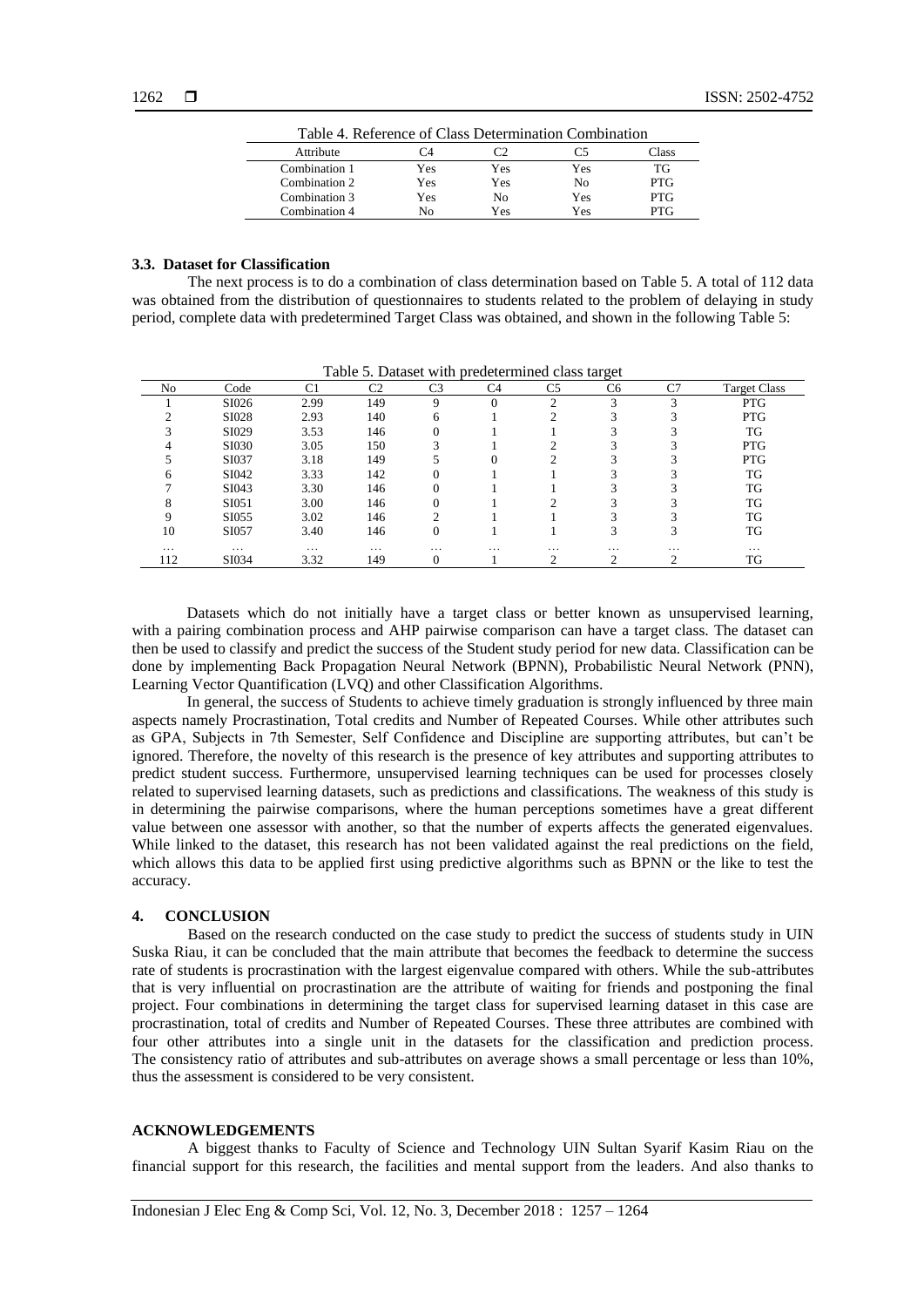| Table 4. Reference of Class Determination Combination |     |     |     |            |  |  |  |  |
|-------------------------------------------------------|-----|-----|-----|------------|--|--|--|--|
| Attribute                                             | C4  | רי  |     | Class      |  |  |  |  |
| Combination 1                                         | Yes | Yes | Yes | TG         |  |  |  |  |
| Combination 2                                         | Yes | Yes | No  | <b>PTG</b> |  |  |  |  |
| Combination 3                                         | Yes | No  | Yes | <b>PTG</b> |  |  |  |  |
| Combination 4                                         | Nο  | Yes | Yes | PTG.       |  |  |  |  |

#### **3.3. Dataset for Classification**

The next process is to do a combination of class determination based on Table 5. A total of 112 data was obtained from the distribution of questionnaires to students related to the problem of delaying in study period, complete data with predetermined Target Class was obtained, and shown in the following Table 5:

| No       | Code     | C1       | C <sub>2</sub> | C3       | C4       | C5       | C6                      | C7       | <b>Target Class</b> |
|----------|----------|----------|----------------|----------|----------|----------|-------------------------|----------|---------------------|
|          | SI026    | 2.99     | 149            | Q        |          | $\sim$   | $\overline{\mathbf{3}}$ | ⌒        | <b>PTG</b>          |
|          | SI028    | 2.93     | 140            | 6        |          | ◠        | ⌒                       | ◠        | <b>PTG</b>          |
|          | SI029    | 3.53     | 146            |          |          |          | 2                       |          | TG                  |
|          | SI030    | 3.05     | 150            | 3        |          |          |                         |          | <b>PTG</b>          |
|          | SI037    | 3.18     | 149            |          |          |          | ◠                       |          | <b>PTG</b>          |
| h        | SI042    | 3.33     | 142            | 0        |          |          |                         |          | TG                  |
|          | SI043    | 3.30     | 146            | 0        |          |          | ⌒                       |          | TG                  |
|          | SI051    | 3.00     | 146            |          |          | ◠        | $\overline{\mathbf{c}}$ |          | TG                  |
|          | SI055    | 3.02     | 146            | ◠        |          |          |                         |          | TG                  |
| 10       | SI057    | 3.40     | 146            | 0        |          |          | 3                       |          | TG                  |
| $\cdots$ | $\cdots$ | $\cdots$ | $\cdots$       | $\cdots$ | $\cdots$ | $\cdots$ | $\cdots$                | $\cdots$ | $\cdots$            |
| 112      | SI034    | 3.32     | 149            |          |          | ◠        | ⌒                       | ⌒        | TG                  |

Table 5. Dataset with predetermined class target

Datasets which do not initially have a target class or better known as unsupervised learning, with a pairing combination process and AHP pairwise comparison can have a target class. The dataset can then be used to classify and predict the success of the Student study period for new data. Classification can be done by implementing Back Propagation Neural Network (BPNN), Probabilistic Neural Network (PNN), Learning Vector Quantification (LVQ) and other Classification Algorithms.

In general, the success of Students to achieve timely graduation is strongly influenced by three main aspects namely Procrastination, Total credits and Number of Repeated Courses. While other attributes such as GPA, Subjects in 7th Semester, Self Confidence and Discipline are supporting attributes, but can't be ignored. Therefore, the novelty of this research is the presence of key attributes and supporting attributes to predict student success. Furthermore, unsupervised learning techniques can be used for processes closely related to supervised learning datasets, such as predictions and classifications. The weakness of this study is in determining the pairwise comparisons, where the human perceptions sometimes have a great different value between one assessor with another, so that the number of experts affects the generated eigenvalues. While linked to the dataset, this research has not been validated against the real predictions on the field, which allows this data to be applied first using predictive algorithms such as BPNN or the like to test the accuracy.

# **4. CONCLUSION**

Based on the research conducted on the case study to predict the success of students study in UIN Suska Riau, it can be concluded that the main attribute that becomes the feedback to determine the success rate of students is procrastination with the largest eigenvalue compared with others. While the sub-attributes that is very influential on procrastination are the attribute of waiting for friends and postponing the final project. Four combinations in determining the target class for supervised learning dataset in this case are procrastination, total of credits and Number of Repeated Courses. These three attributes are combined with four other attributes into a single unit in the datasets for the classification and prediction process. The consistency ratio of attributes and sub-attributes on average shows a small percentage or less than 10%, thus the assessment is considered to be very consistent.

# **ACKNOWLEDGEMENTS**

A biggest thanks to Faculty of Science and Technology UIN Sultan Syarif Kasim Riau on the financial support for this research, the facilities and mental support from the leaders. And also thanks to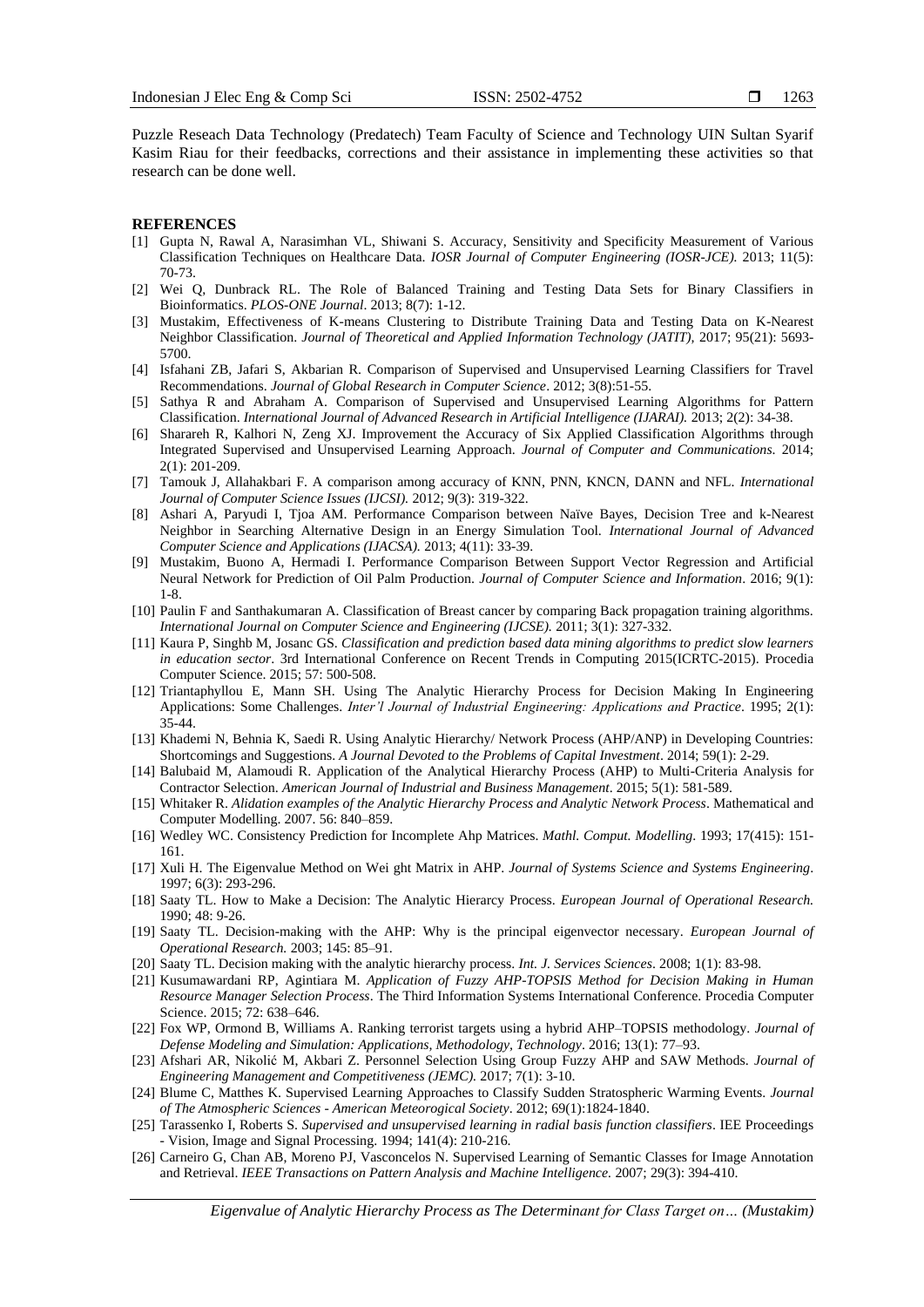Puzzle Reseach Data Technology (Predatech) Team Faculty of Science and Technology UIN Sultan Syarif Kasim Riau for their feedbacks, corrections and their assistance in implementing these activities so that research can be done well.

#### **REFERENCES**

- [1] Gupta N, Rawal A, Narasimhan VL, Shiwani S. Accuracy, Sensitivity and Specificity Measurement of Various Classification Techniques on Healthcare Data. *IOSR Journal of Computer Engineering (IOSR-JCE).* 2013; 11(5): 70-73.
- [2] Wei Q, Dunbrack RL. The Role of Balanced Training and Testing Data Sets for Binary Classifiers in Bioinformatics. *PLOS-ONE Journal*. 2013; 8(7): 1-12.
- [3] Mustakim, Effectiveness of K-means Clustering to Distribute Training Data and Testing Data on K-Nearest Neighbor Classification. *Journal of Theoretical and Applied Information Technology (JATIT),* 2017; 95(21): 5693- 5700.
- [4] Isfahani ZB, Jafari S, Akbarian R. Comparison of Supervised and Unsupervised Learning Classifiers for Travel Recommendations. *Journal of Global Research in Computer Science*. 2012; 3(8):51-55.
- [5] Sathya R and Abraham A. Comparison of Supervised and Unsupervised Learning Algorithms for Pattern Classification. *International Journal of Advanced Research in Artificial Intelligence (IJARAI).* 2013; 2(2): 34-38.
- [6] Sharareh R, Kalhori N, Zeng XJ. Improvement the Accuracy of Six Applied Classification Algorithms through Integrated Supervised and Unsupervised Learning Approach. *Journal of Computer and Communications*. 2014; 2(1): 201-209.
- [7] Tamouk J, Allahakbari F. A comparison among accuracy of KNN, PNN, KNCN, DANN and NFL. *International Journal of Computer Science Issues (IJCSI).* 2012; 9(3): 319-322.
- [8] Ashari A, Paryudi I, Tjoa AM. Performance Comparison between Naïve Bayes, Decision Tree and k-Nearest Neighbor in Searching Alternative Design in an Energy Simulation Tool. *International Journal of Advanced Computer Science and Applications (IJACSA).* 2013; 4(11): 33-39.
- [9] Mustakim, Buono A, Hermadi I. Performance Comparison Between Support Vector Regression and Artificial Neural Network for Prediction of Oil Palm Production. *Journal of Computer Science and Information*. 2016; 9(1): 1-8.
- [10] Paulin F and Santhakumaran A. Classification of Breast cancer by comparing Back propagation training algorithms. *International Journal on Computer Science and Engineering (IJCSE).* 2011; 3(1): 327-332.
- [11] Kaura P, Singhb M, Josanc GS. *Classification and prediction based data mining algorithms to predict slow learners in education sector*. 3rd International Conference on Recent Trends in Computing 2015(ICRTC-2015). Procedia Computer Science. 2015; 57: 500-508.
- [12] Triantaphyllou E, Mann SH. Using The Analytic Hierarchy Process for Decision Making In Engineering Applications: Some Challenges. *Inter'l Journal of Industrial Engineering: Applications and Practice*. 1995; 2(1): 35-44.
- [13] Khademi N, Behnia K, Saedi R. Using Analytic Hierarchy/ Network Process (AHP/ANP) in Developing Countries: Shortcomings and Suggestions. *A Journal Devoted to the Problems of Capital Investment*. 2014; 59(1): 2-29.
- [14] Balubaid M, Alamoudi R. Application of the Analytical Hierarchy Process (AHP) to Multi-Criteria Analysis for Contractor Selection. *American Journal of Industrial and Business Management*. 2015; 5(1): 581-589.
- [15] Whitaker R. *Alidation examples of the Analytic Hierarchy Process and Analytic Network Process*. Mathematical and Computer Modelling. 2007. 56: 840–859.
- [16] Wedley WC. Consistency Prediction for Incomplete Ahp Matrices. *Mathl. Comput. Modelling*. 1993; 17(415): 151- 161.
- [17] Xuli H. The Eigenvalue Method on Wei ght Matrix in AHP. *Journal of Systems Science and Systems Engineering*. 1997; 6(3): 293-296.
- [18] Saaty TL. How to Make a Decision: The Analytic Hierarcy Process. *European Journal of Operational Research.* 1990; 48: 9-26.
- [19] Saaty TL. Decision-making with the AHP: Why is the principal eigenvector necessary. *European Journal of Operational Research.* 2003; 145: 85–91.
- [20] Saaty TL. Decision making with the analytic hierarchy process. *Int. J. Services Sciences*. 2008; 1(1): 83-98.
- [21] Kusumawardani RP, Agintiara M. *Application of Fuzzy AHP-TOPSIS Method for Decision Making in Human Resource Manager Selection Process*. The Third Information Systems International Conference. Procedia Computer Science. 2015; 72: 638–646.
- [22] Fox WP, Ormond B, Williams A. Ranking terrorist targets using a hybrid AHP–TOPSIS methodology. *Journal of Defense Modeling and Simulation: Applications, Methodology, Technology*. 2016; 13(1): 77–93.
- [23] Afshari AR, Nikolić M, Akbari Z. Personnel Selection Using Group Fuzzy AHP and SAW Methods. *Journal of Engineering Management and Competitiveness (JEMC).* 2017; 7(1): 3-10.
- [24] Blume C, Matthes K. Supervised Learning Approaches to Classify Sudden Stratospheric Warming Events. *Journal of The Atmospheric Sciences - American Meteorogical Society*. 2012; 69(1):1824-1840.
- [25] Tarassenko I, Roberts S. *Supervised and unsupervised learning in radial basis function classifiers*. IEE Proceedings - Vision, Image and Signal Processing. 1994; 141(4): 210-216.
- [26] Carneiro G, Chan AB, Moreno PJ, Vasconcelos N. Supervised Learning of Semantic Classes for Image Annotation and Retrieval. *IEEE Transactions on Pattern Analysis and Machine Intelligence.* 2007; 29(3): 394-410.